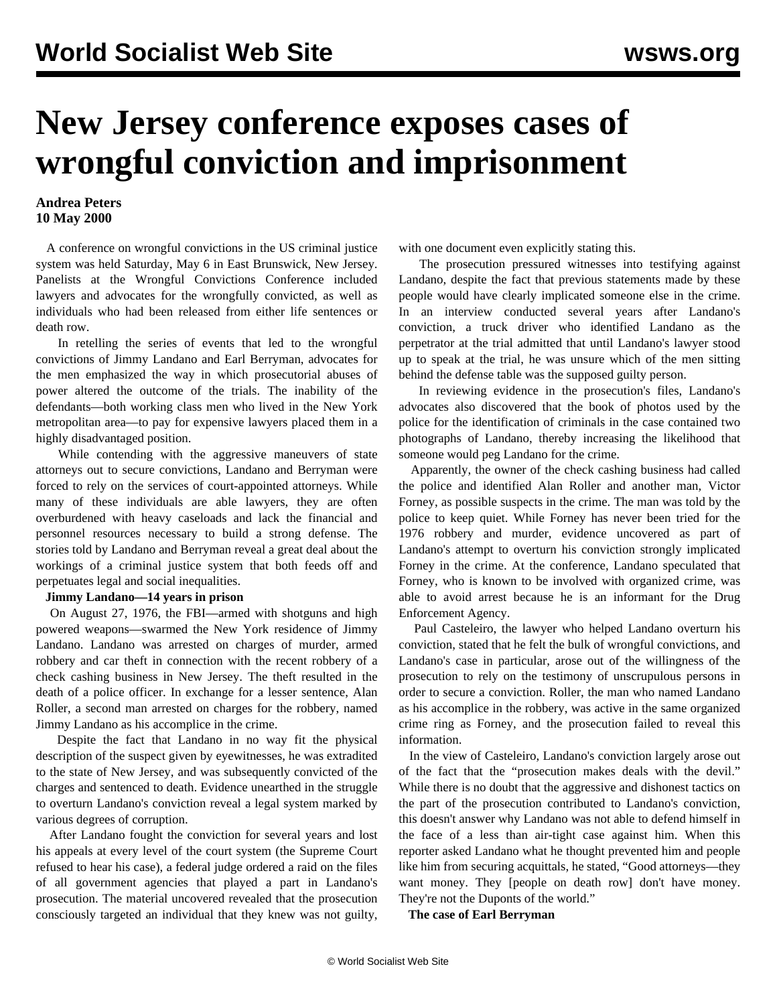## **New Jersey conference exposes cases of wrongful conviction and imprisonment**

## **Andrea Peters 10 May 2000**

 A conference on wrongful convictions in the US criminal justice system was held Saturday, May 6 in East Brunswick, New Jersey. Panelists at the Wrongful Convictions Conference included lawyers and advocates for the wrongfully convicted, as well as individuals who had been released from either life sentences or death row.

 In retelling the series of events that led to the wrongful convictions of Jimmy Landano and Earl Berryman, advocates for the men emphasized the way in which prosecutorial abuses of power altered the outcome of the trials. The inability of the defendants—both working class men who lived in the New York metropolitan area—to pay for expensive lawyers placed them in a highly disadvantaged position.

 While contending with the aggressive maneuvers of state attorneys out to secure convictions, Landano and Berryman were forced to rely on the services of court-appointed attorneys. While many of these individuals are able lawyers, they are often overburdened with heavy caseloads and lack the financial and personnel resources necessary to build a strong defense. The stories told by Landano and Berryman reveal a great deal about the workings of a criminal justice system that both feeds off and perpetuates legal and social inequalities.

## **Jimmy Landano—14 years in prison**

 On August 27, 1976, the FBI—armed with shotguns and high powered weapons—swarmed the New York residence of Jimmy Landano. Landano was arrested on charges of murder, armed robbery and car theft in connection with the recent robbery of a check cashing business in New Jersey. The theft resulted in the death of a police officer. In exchange for a lesser sentence, Alan Roller, a second man arrested on charges for the robbery, named Jimmy Landano as his accomplice in the crime.

 Despite the fact that Landano in no way fit the physical description of the suspect given by eyewitnesses, he was extradited to the state of New Jersey, and was subsequently convicted of the charges and sentenced to death. Evidence unearthed in the struggle to overturn Landano's conviction reveal a legal system marked by various degrees of corruption.

 After Landano fought the conviction for several years and lost his appeals at every level of the court system (the Supreme Court refused to hear his case), a federal judge ordered a raid on the files of all government agencies that played a part in Landano's prosecution. The material uncovered revealed that the prosecution consciously targeted an individual that they knew was not guilty, with one document even explicitly stating this.

 The prosecution pressured witnesses into testifying against Landano, despite the fact that previous statements made by these people would have clearly implicated someone else in the crime. In an interview conducted several years after Landano's conviction, a truck driver who identified Landano as the perpetrator at the trial admitted that until Landano's lawyer stood up to speak at the trial, he was unsure which of the men sitting behind the defense table was the supposed guilty person.

 In reviewing evidence in the prosecution's files, Landano's advocates also discovered that the book of photos used by the police for the identification of criminals in the case contained two photographs of Landano, thereby increasing the likelihood that someone would peg Landano for the crime.

 Apparently, the owner of the check cashing business had called the police and identified Alan Roller and another man, Victor Forney, as possible suspects in the crime. The man was told by the police to keep quiet. While Forney has never been tried for the 1976 robbery and murder, evidence uncovered as part of Landano's attempt to overturn his conviction strongly implicated Forney in the crime. At the conference, Landano speculated that Forney, who is known to be involved with organized crime, was able to avoid arrest because he is an informant for the Drug Enforcement Agency.

 Paul Casteleiro, the lawyer who helped Landano overturn his conviction, stated that he felt the bulk of wrongful convictions, and Landano's case in particular, arose out of the willingness of the prosecution to rely on the testimony of unscrupulous persons in order to secure a conviction. Roller, the man who named Landano as his accomplice in the robbery, was active in the same organized crime ring as Forney, and the prosecution failed to reveal this information.

 In the view of Casteleiro, Landano's conviction largely arose out of the fact that the "prosecution makes deals with the devil." While there is no doubt that the aggressive and dishonest tactics on the part of the prosecution contributed to Landano's conviction, this doesn't answer why Landano was not able to defend himself in the face of a less than air-tight case against him. When this reporter asked Landano what he thought prevented him and people like him from securing acquittals, he stated, "Good attorneys—they want money. They [people on death row] don't have money. They're not the Duponts of the world."

**The case of Earl Berryman**